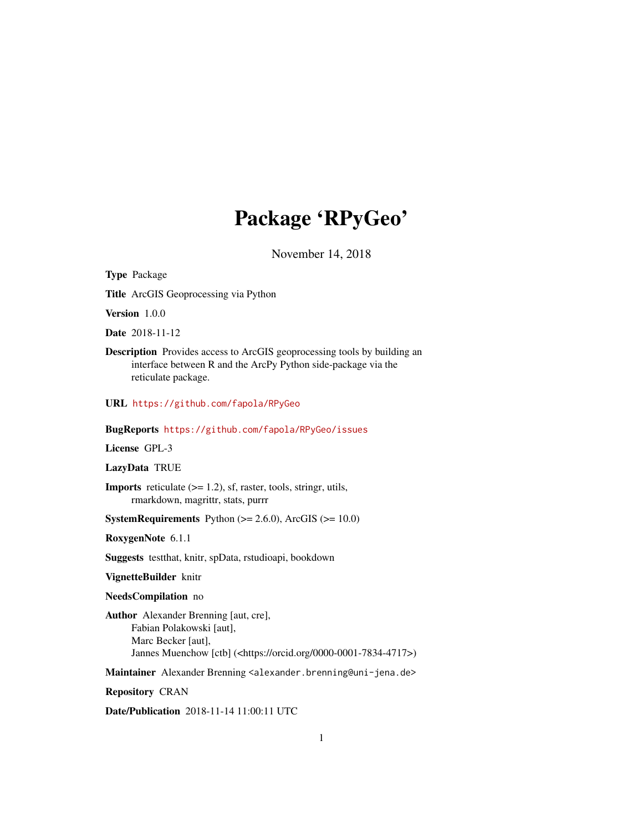## Package 'RPyGeo'

November 14, 2018

Type Package Title ArcGIS Geoprocessing via Python Version 1.0.0 Date 2018-11-12 Description Provides access to ArcGIS geoprocessing tools by building an interface between R and the ArcPy Python side-package via the reticulate package. URL <https://github.com/fapola/RPyGeo> BugReports <https://github.com/fapola/RPyGeo/issues> License GPL-3 LazyData TRUE **Imports** reticulate  $(>= 1.2)$ , sf, raster, tools, stringr, utils, rmarkdown, magrittr, stats, purrr **SystemRequirements** Python  $(>= 2.6.0)$ , ArcGIS  $(>= 10.0)$ RoxygenNote 6.1.1 Suggests testthat, knitr, spData, rstudioapi, bookdown VignetteBuilder knitr NeedsCompilation no Author Alexander Brenning [aut, cre], Fabian Polakowski [aut], Marc Becker [aut], Jannes Muenchow [ctb] (<https://orcid.org/0000-0001-7834-4717>) Maintainer Alexander Brenning <alexander.brenning@uni-jena.de> Repository CRAN

Date/Publication 2018-11-14 11:00:11 UTC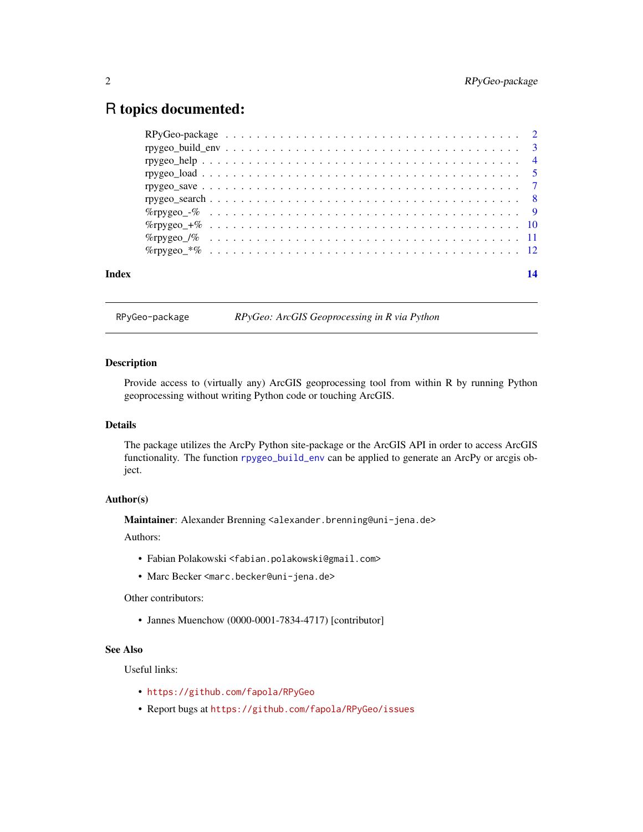### <span id="page-1-0"></span>R topics documented:

| Index | 14 |
|-------|----|
|       |    |

RPyGeo-package *RPyGeo: ArcGIS Geoprocessing in R via Python*

#### Description

Provide access to (virtually any) ArcGIS geoprocessing tool from within R by running Python geoprocessing without writing Python code or touching ArcGIS.

#### Details

The package utilizes the ArcPy Python site-package or the ArcGIS API in order to access ArcGIS functionality. The function [rpygeo\\_build\\_env](#page-2-1) can be applied to generate an ArcPy or arcgis object.

#### Author(s)

Maintainer: Alexander Brenning <alexander.brenning@uni-jena.de>

Authors:

- Fabian Polakowski <fabian.polakowski@gmail.com>
- Marc Becker <marc.becker@uni-jena.de>

Other contributors:

• Jannes Muenchow (0000-0001-7834-4717) [contributor]

#### See Also

Useful links:

- <https://github.com/fapola/RPyGeo>
- Report bugs at <https://github.com/fapola/RPyGeo/issues>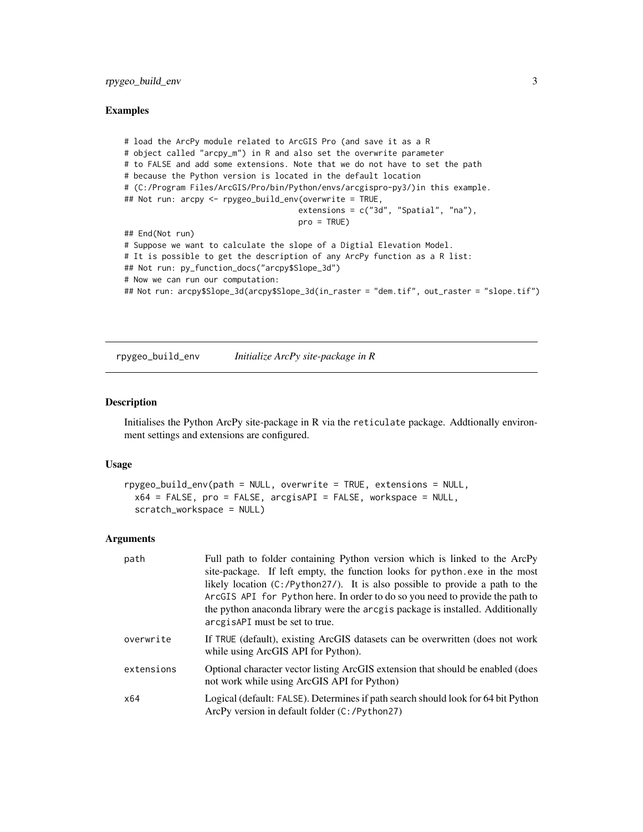#### <span id="page-2-0"></span>rpygeo\_build\_env 3

#### Examples

```
# load the ArcPy module related to ArcGIS Pro (and save it as a R
# object called "arcpy_m") in R and also set the overwrite parameter
# to FALSE and add some extensions. Note that we do not have to set the path
# because the Python version is located in the default location
# (C:/Program Files/ArcGIS/Pro/bin/Python/envs/arcgispro-py3/)in this example.
## Not run: arcpy <- rpygeo_build_env(overwrite = TRUE,
                                     extensions = c("3d", "Spatial", "na"),
                                     pro = TRUE)
## End(Not run)
# Suppose we want to calculate the slope of a Digtial Elevation Model.
# It is possible to get the description of any ArcPy function as a R list:
## Not run: py_function_docs("arcpy$Slope_3d")
# Now we can run our computation:
## Not run: arcpy$Slope_3d(arcpy$Slope_3d(in_raster = "dem.tif", out_raster = "slope.tif")
```
<span id="page-2-1"></span>rpygeo\_build\_env *Initialize ArcPy site-package in R*

#### Description

Initialises the Python ArcPy site-package in R via the reticulate package. Addtionally environment settings and extensions are configured.

#### Usage

```
rpygeo_build_env(path = NULL, overwrite = TRUE, extensions = NULL,
 x64 = FALSE, pro = FALSE, arcgisAPI = FALSE, workspace = NULL,
  scratch_workspace = NULL)
```
#### Arguments

| path       | Full path to folder containing Python version which is linked to the ArcPy<br>site-package. If left empty, the function looks for python.exe in the most<br>likely location $(C: /Python27/)$ . It is also possible to provide a path to the<br>ArcGIS API for Python here. In order to do so you need to provide the path to<br>the python anaconda library were the arcgis package is installed. Additionally<br>arcgisAPI must be set to true. |
|------------|---------------------------------------------------------------------------------------------------------------------------------------------------------------------------------------------------------------------------------------------------------------------------------------------------------------------------------------------------------------------------------------------------------------------------------------------------|
| overwrite  | If TRUE (default), existing ArcGIS datasets can be overwritten (does not work<br>while using ArcGIS API for Python).                                                                                                                                                                                                                                                                                                                              |
| extensions | Optional character vector listing ArcGIS extension that should be enabled (does<br>not work while using ArcGIS API for Python)                                                                                                                                                                                                                                                                                                                    |
| x64        | Logical (default: FALSE). Determines if path search should look for 64 bit Python<br>ArcPy version in default folder (C:/Python27)                                                                                                                                                                                                                                                                                                                |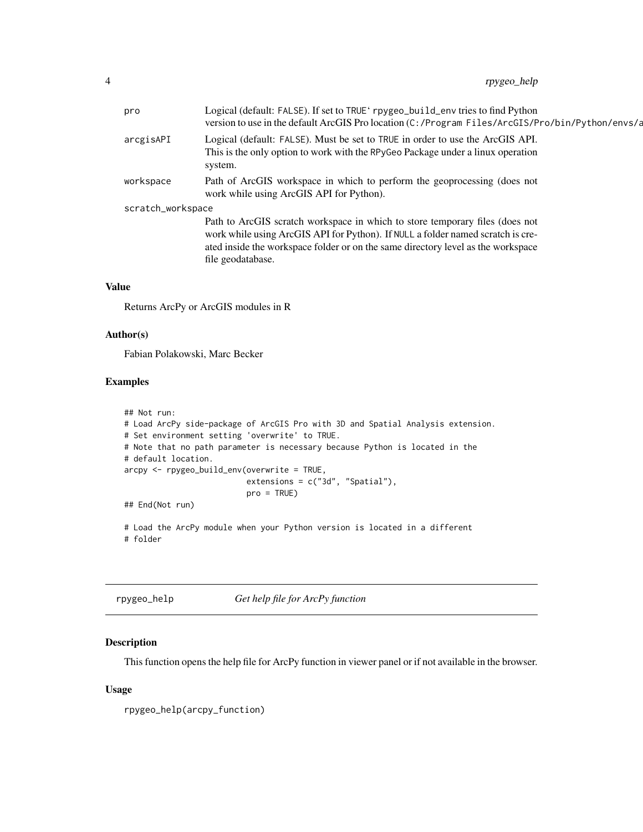<span id="page-3-0"></span>

| pro               | Logical (default: FALSE). If set to TRUE' rpygeo_build_env tries to find Python<br>version to use in the default ArcGIS Pro location (C:/Program Files/ArcGIS/Pro/bin/Python/envs/a                                                                                      |
|-------------------|--------------------------------------------------------------------------------------------------------------------------------------------------------------------------------------------------------------------------------------------------------------------------|
| arcgisAPI         | Logical (default: FALSE). Must be set to TRUE in order to use the ArcGIS API.<br>This is the only option to work with the RPyGeo Package under a linux operation<br>system.                                                                                              |
| workspace         | Path of ArcGIS workspace in which to perform the geoprocessing (does not<br>work while using ArcGIS API for Python).                                                                                                                                                     |
| scratch_workspace |                                                                                                                                                                                                                                                                          |
|                   | Path to ArcGIS scratch workspace in which to store temporary files (does not<br>work while using ArcGIS API for Python). If NULL a folder named scratch is cre-<br>ated inside the workspace folder or on the same directory level as the workspace<br>file geodatabase. |
|                   |                                                                                                                                                                                                                                                                          |

#### Value

Returns ArcPy or ArcGIS modules in R

#### Author(s)

Fabian Polakowski, Marc Becker

#### Examples

```
## Not run:
# Load ArcPy side-package of ArcGIS Pro with 3D and Spatial Analysis extension.
# Set environment setting 'overwrite' to TRUE.
# Note that no path parameter is necessary because Python is located in the
# default location.
arcpy <- rpygeo_build_env(overwrite = TRUE,
                          extensions = c("3d", "Spatial"),
                          pro = TRUE)
## End(Not run)
# Load the ArcPy module when your Python version is located in a different
# folder
```

| rpygeo_help | Get help file for ArcPy function |
|-------------|----------------------------------|
|             |                                  |

#### Description

This function opens the help file for ArcPy function in viewer panel or if not available in the browser.

#### Usage

rpygeo\_help(arcpy\_function)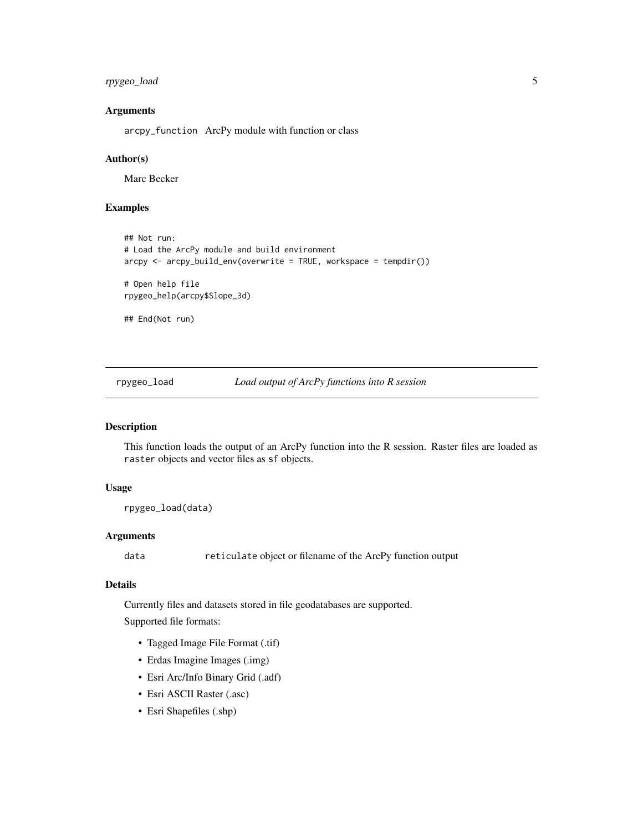#### <span id="page-4-0"></span>rpygeo\_load 5

#### Arguments

arcpy\_function ArcPy module with function or class

#### Author(s)

Marc Becker

#### Examples

```
## Not run:
# Load the ArcPy module and build environment
\text{arcpy} \leq \text{arcpy\_build\_env}(\text{overwrite} = \text{TRUE}, \text{workspace} = \text{tempdir}())# Open help file
rpygeo_help(arcpy$Slope_3d)
## End(Not run)
```
rpygeo\_load *Load output of ArcPy functions into R session*

#### Description

This function loads the output of an ArcPy function into the R session. Raster files are loaded as raster objects and vector files as sf objects.

#### Usage

```
rpygeo_load(data)
```
#### Arguments

data reticulate object or filename of the ArcPy function output

#### Details

Currently files and datasets stored in file geodatabases are supported.

Supported file formats:

- Tagged Image File Format (.tif)
- Erdas Imagine Images (.img)
- Esri Arc/Info Binary Grid (.adf)
- Esri ASCII Raster (.asc)
- Esri Shapefiles (.shp)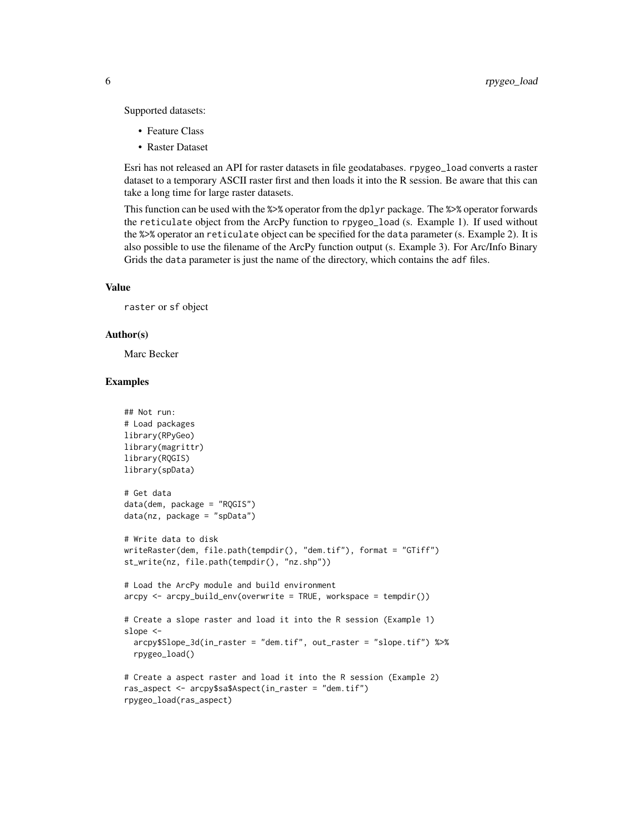Supported datasets:

- Feature Class
- Raster Dataset

Esri has not released an API for raster datasets in file geodatabases. rpygeo\_load converts a raster dataset to a temporary ASCII raster first and then loads it into the R session. Be aware that this can take a long time for large raster datasets.

This function can be used with the %>% operator from the dplyr package. The %>% operator forwards the reticulate object from the ArcPy function to rpygeo\_load (s. Example 1). If used without the %>% operator an reticulate object can be specified for the data parameter (s. Example 2). It is also possible to use the filename of the ArcPy function output (s. Example 3). For Arc/Info Binary Grids the data parameter is just the name of the directory, which contains the adf files.

#### Value

raster or sf object

#### Author(s)

Marc Becker

#### Examples

```
## Not run:
# Load packages
library(RPyGeo)
library(magrittr)
library(RQGIS)
library(spData)
# Get data
data(dem, package = "RQGIS")
data(nz, package = "spData")
# Write data to disk
writeRaster(dem, file.path(tempdir(), "dem.tif"), format = "GTiff")
st_write(nz, file.path(tempdir(), "nz.shp"))
# Load the ArcPy module and build environment
arcpy \leftarrow arcpy_buid_env(overwrite = TRUE, workspace = tem pair())# Create a slope raster and load it into the R session (Example 1)
slope <-
  arcpy$Slope_3d(in_raster = "dem.tif", out_raster = "slope.tif") %>%
  rpygeo_load()
# Create a aspect raster and load it into the R session (Example 2)
ras_aspect <- arcpy$sa$Aspect(in_raster = "dem.tif")
rpygeo_load(ras_aspect)
```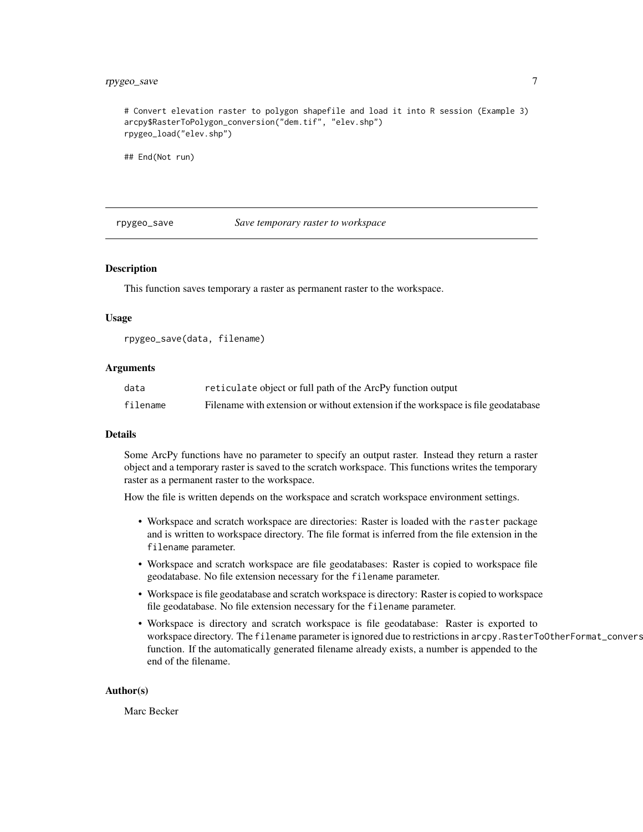#### <span id="page-6-0"></span>rpygeo\_save 7

# Convert elevation raster to polygon shapefile and load it into R session (Example 3) arcpy\$RasterToPolygon\_conversion("dem.tif", "elev.shp") rpygeo\_load("elev.shp")

## End(Not run)

rpygeo\_save *Save temporary raster to workspace*

#### Description

This function saves temporary a raster as permanent raster to the workspace.

#### Usage

rpygeo\_save(data, filename)

#### Arguments

| data     | reticulate object or full path of the ArcPy function output                       |
|----------|-----------------------------------------------------------------------------------|
| filename | Filename with extension or without extension if the workspace is file geodatabase |

#### Details

Some ArcPy functions have no parameter to specify an output raster. Instead they return a raster object and a temporary raster is saved to the scratch workspace. This functions writes the temporary raster as a permanent raster to the workspace.

How the file is written depends on the workspace and scratch workspace environment settings.

- Workspace and scratch workspace are directories: Raster is loaded with the raster package and is written to workspace directory. The file format is inferred from the file extension in the filename parameter.
- Workspace and scratch workspace are file geodatabases: Raster is copied to workspace file geodatabase. No file extension necessary for the filename parameter.
- Workspace is file geodatabase and scratch workspace is directory: Raster is copied to workspace file geodatabase. No file extension necessary for the filename parameter.
- Workspace is directory and scratch workspace is file geodatabase: Raster is exported to workspace directory. The filename parameter is ignored due to restrictions in arcpy.RasterToOtherFormat\_convers function. If the automatically generated filename already exists, a number is appended to the end of the filename.

#### Author(s)

Marc Becker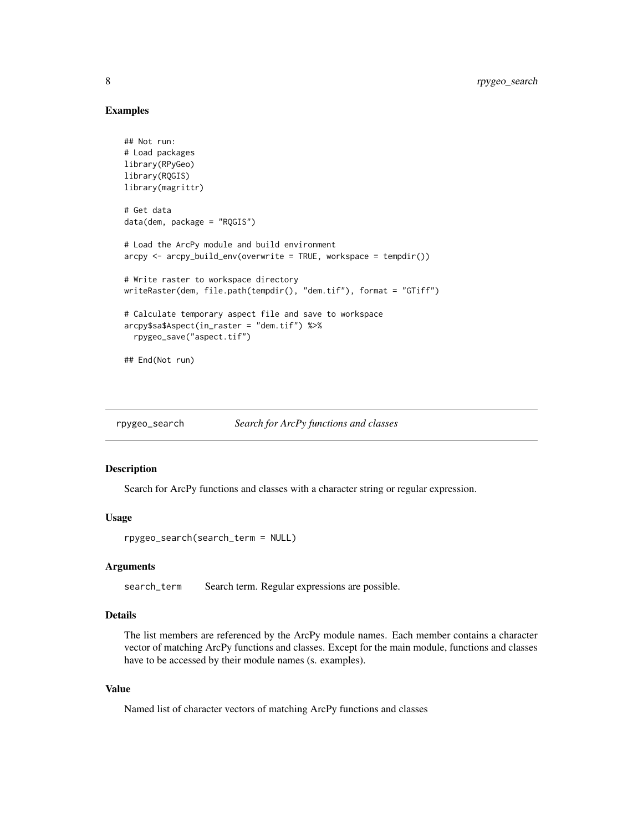#### Examples

```
## Not run:
# Load packages
library(RPyGeo)
library(RQGIS)
library(magrittr)
# Get data
data(dem, package = "RQGIS")
# Load the ArcPy module and build environment
arcpy \leftarrow arcpy_buid_env(overwrite = TRUE, workspace = tempair())# Write raster to workspace directory
writeRaster(dem, file.path(tempdir(), "dem.tif"), format = "GTiff")
# Calculate temporary aspect file and save to workspace
arcpy$sa$Aspect(in_raster = "dem.tif") %>%
  rpygeo_save("aspect.tif")
## End(Not run)
```
rpygeo\_search *Search for ArcPy functions and classes*

#### Description

Search for ArcPy functions and classes with a character string or regular expression.

#### Usage

rpygeo\_search(search\_term = NULL)

#### Arguments

search\_term Search term. Regular expressions are possible.

#### Details

The list members are referenced by the ArcPy module names. Each member contains a character vector of matching ArcPy functions and classes. Except for the main module, functions and classes have to be accessed by their module names (s. examples).

#### Value

Named list of character vectors of matching ArcPy functions and classes

<span id="page-7-0"></span>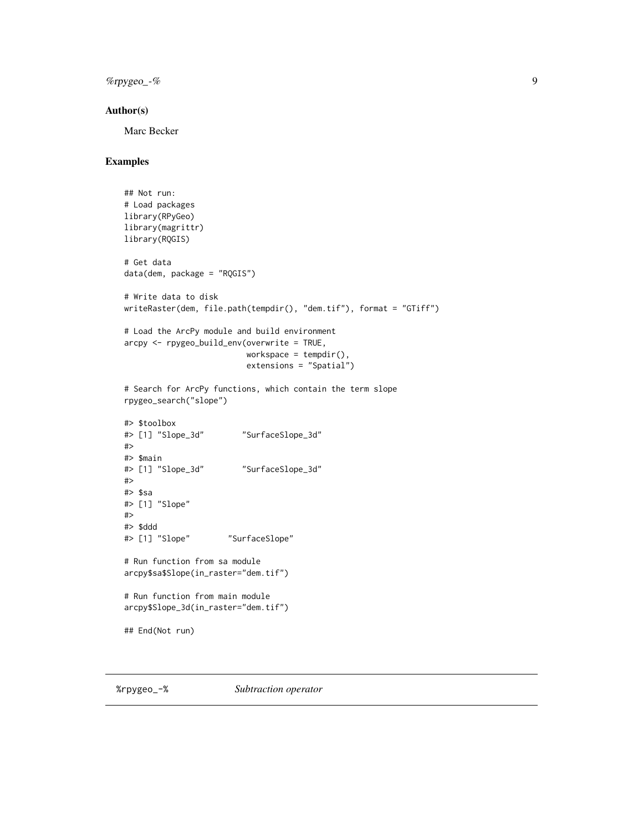<span id="page-8-0"></span>%rpygeo\_-% 9

#### Author(s)

Marc Becker

#### Examples

```
## Not run:
# Load packages
library(RPyGeo)
library(magrittr)
library(RQGIS)
# Get data
data(dem, package = "RQGIS")
# Write data to disk
writeRaster(dem, file.path(tempdir(), "dem.tif"), format = "GTiff")
# Load the ArcPy module and build environment
arcpy <- rpygeo_build_env(overwrite = TRUE,
                         workspace = tempdir(),
                         extensions = "Spatial")
# Search for ArcPy functions, which contain the term slope
rpygeo_search("slope")
#> $toolbox
#> [1] "Slope_3d" "SurfaceSlope_3d"
#>
#> $main
#> [1] "Slope_3d" "SurfaceSlope_3d"
#>
#> $sa
#> [1] "Slope"
#>
#> $ddd
#> [1] "Slope" "SurfaceSlope"
# Run function from sa module
arcpy$sa$Slope(in_raster="dem.tif")
# Run function from main module
arcpy$Slope_3d(in_raster="dem.tif")
## End(Not run)
```
%rpygeo\_-% *Subtraction operator*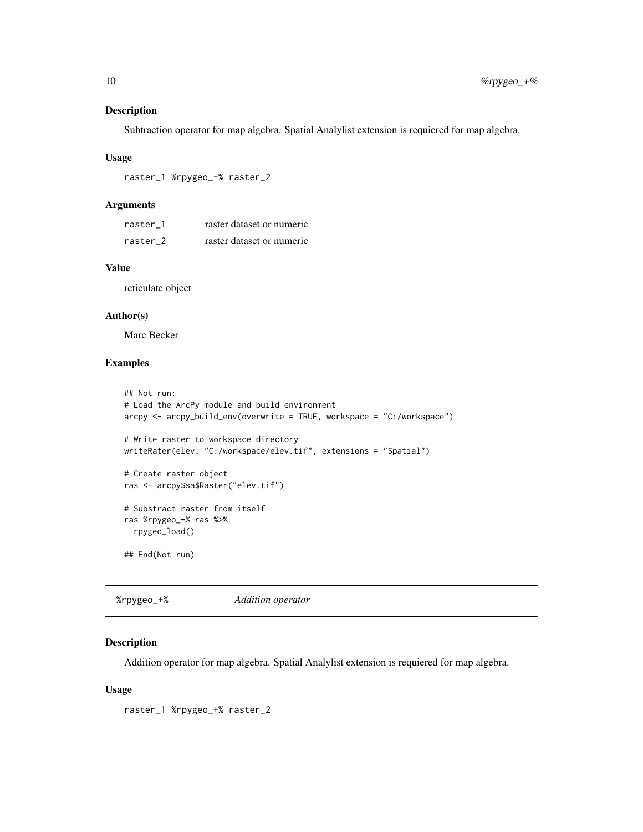#### <span id="page-9-0"></span>Description

Subtraction operator for map algebra. Spatial Analylist extension is requiered for map algebra.

#### Usage

```
raster_1 %rpygeo_-% raster_2
```
#### Arguments

| raster 1 | raster dataset or numeric |
|----------|---------------------------|
| raster 2 | raster dataset or numeric |

#### Value

reticulate object

#### Author(s)

Marc Becker

#### Examples

```
## Not run:
# Load the ArcPy module and build environment
arcpy <- arcpy_build_env(overwrite = TRUE, workspace = "C:/workspace")
# Write raster to workspace directory
writeRater(elev, "C:/workspace/elev.tif", extensions = "Spatial")
# Create raster object
ras <- arcpy$sa$Raster("elev.tif")
# Substract raster from itself
ras %rpygeo_+% ras %>%
  rpygeo_load()
## End(Not run)
```
%rpygeo\_+% *Addition operator*

#### Description

Addition operator for map algebra. Spatial Analylist extension is requiered for map algebra.

#### Usage

raster\_1 %rpygeo\_+% raster\_2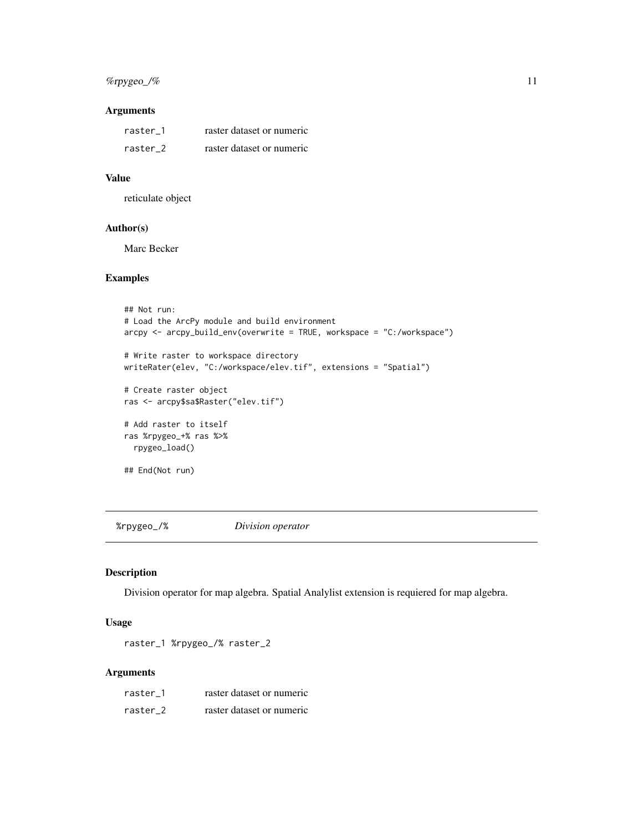#### <span id="page-10-0"></span>%rpygeo\_/% 11

#### Arguments

| raster 1 | raster dataset or numeric |
|----------|---------------------------|
| raster 2 | raster dataset or numeric |

#### Value

reticulate object

#### Author(s)

Marc Becker

#### Examples

```
## Not run:
# Load the ArcPy module and build environment
arcpy <- arcpy_build_env(overwrite = TRUE, workspace = "C:/workspace")
# Write raster to workspace directory
writeRater(elev, "C:/workspace/elev.tif", extensions = "Spatial")
# Create raster object
ras <- arcpy$sa$Raster("elev.tif")
# Add raster to itself
ras %rpygeo_+% ras %>%
  rpygeo_load()
## End(Not run)
```
%rpygeo\_/% *Division operator*

#### Description

Division operator for map algebra. Spatial Analylist extension is requiered for map algebra.

#### Usage

raster\_1 %rpygeo\_/% raster\_2

#### Arguments

| raster 1 | raster dataset or numeric |
|----------|---------------------------|
| raster 2 | raster dataset or numeric |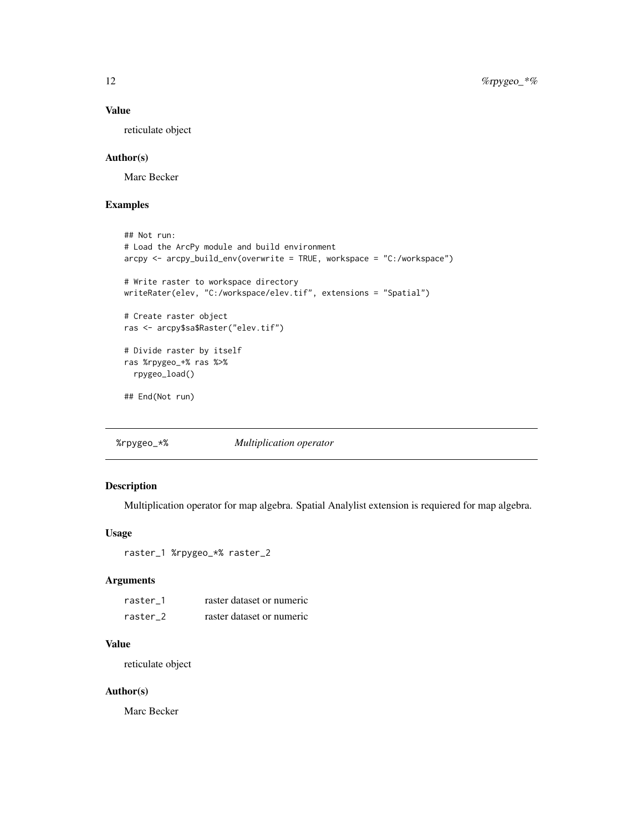#### <span id="page-11-0"></span>Value

reticulate object

#### Author(s)

Marc Becker

#### Examples

```
## Not run:
# Load the ArcPy module and build environment
arcpy <- arcpy_build_env(overwrite = TRUE, workspace = "C:/workspace")
# Write raster to workspace directory
writeRater(elev, "C:/workspace/elev.tif", extensions = "Spatial")
# Create raster object
ras <- arcpy$sa$Raster("elev.tif")
# Divide raster by itself
ras %rpygeo_+% ras %>%
  rpygeo_load()
## End(Not run)
```
%rpygeo\_\*% *Multiplication operator*

#### Description

Multiplication operator for map algebra. Spatial Analylist extension is requiered for map algebra.

#### Usage

raster\_1 %rpygeo\_\*% raster\_2

#### Arguments

| raster 1 | raster dataset or numeric |
|----------|---------------------------|
| raster 2 | raster dataset or numeric |

#### Value

reticulate object

#### Author(s)

Marc Becker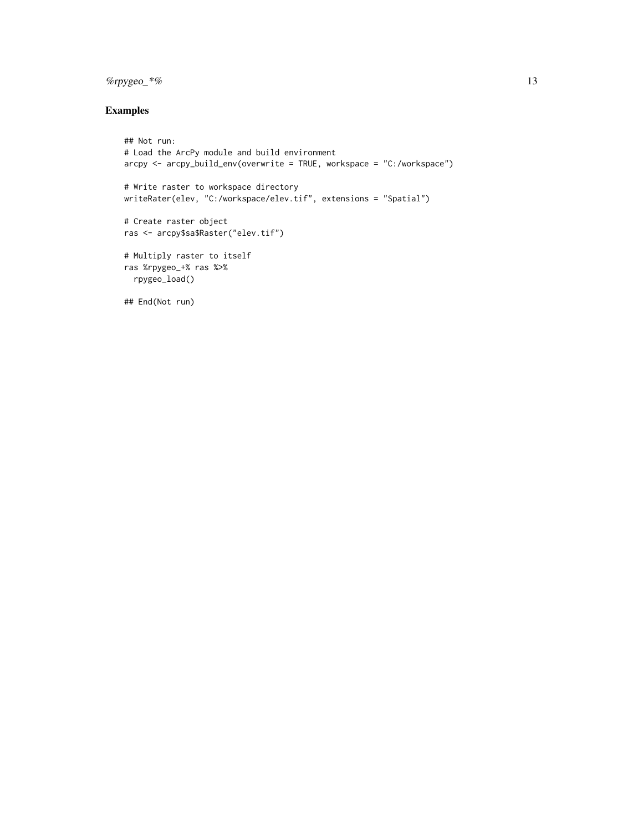#### $\%$ rpygeo\_\*% 13

#### Examples

```
## Not run:
# Load the ArcPy module and build environment
arcpy <- arcpy_build_env(overwrite = TRUE, workspace = "C:/workspace")
# Write raster to workspace directory
writeRater(elev, "C:/workspace/elev.tif", extensions = "Spatial")
# Create raster object
ras <- arcpy$sa$Raster("elev.tif")
# Multiply raster to itself
ras %rpygeo_+% ras %>%
 rpygeo_load()
## End(Not run)
```